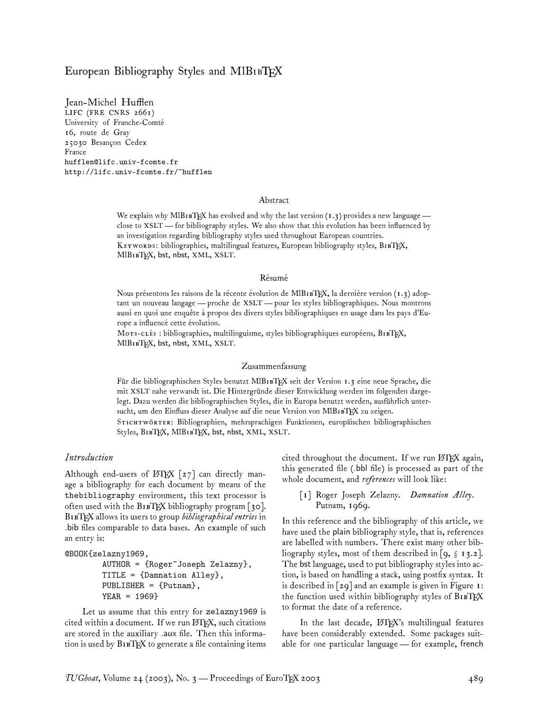# European Bibliography Styles and  $M1B1BTEX$

Jean-Michel Hufflen LIFC (FRE CNRS 2661) University of Franche-Comté 16, route de Gray 25030 Besançon Cedex France hufflen@lifc.univ-fcomte.fr http://lifc.univ-fcomte.fr/~hufflen

#### Abstract

We explain why MIBIBTEX has evolved and why the last version  $(1.3)$  provides a new language close to XSLT— for bibliography styles. We also show that this evolution has been influenced by an investigation regarding bibliography styles used throughout European countries. KEYWORDS: bibliographies, multilingual features, European bibliography styles, B1BTEX, MlB1BTEX, bst, nbst, XML, XSLT.

#### Résumé

Nous présentons les raisons de la récente évolution de MlB1ETEX, la dernière version (1.3) adoptant un nouveau langage — proche de XSLT— pour les styles bibliographiques. Nous montrons aussi en quoi une enquête à propos des divers styles bibliographiques en usage dans les pays d'Europe a influencé cette évolution.

Mors-crés : bibliographies, multilinguisme, styles bibliographiques européens, B1BTFX, MIBIBTEX, bst, nbst, XML, XSLT.

#### Zusammenfassung

Für die bibliographischen Styles benutzt MlB1BTEX seit der Version 1.3 eine neue Sprache, die mit XSLT nahe verwandt ist. Die Hintergründe dieser Entwicklung werden im folgenden dargelegt. Dazu werden die bibliographischen Styles, die in Europa benutzt werden, ausführlich untersucht, um den Einfluss dieser Analyse auf die neue Version von MIBIBTEX zu zeigen.

STICHTWÖRTER: Bibliographien, mehrsprachigen Funktionen, europäischen bibliographischen Styles, B1BTEX, MlB1BTEX, bst, nbst, XML, XSLT.

#### *Introduction*

Although end-users of  $\mathbb{F}$ FIEX [27] can directly manage a bibliography for each document by means of the thebibliography environment, this text processor is often used with the  $B_1$   $B_1$  $E_2$  bibliography program  $\lceil 30 \rceil$ . BTEX allows its users to group *bibliographical entries* in .bib files comparable to data bases. An example of such an entry is:

### @BOOK{zelazny1969,

AUTHOR = {Roger~Joseph Zelazny}, TITLE = {Damnation Alley}, PUBLISHER = {Putnam}, YEAR = 1969}

Let us assume that this entry for zelazny1969 is cited within a document. If we run LATEX, such citations are stored in the auxiliary .aux file. Then this information is used by  $B1BTRX$  to generate a file containing items cited throughout the document. If we run LATEX again, this generated file (.bbl file) is processed as part of the whole document, and *references* will look like:

[1] Roger Joseph Zelazny. *Damnation Alley*. Putnam, 1969.

In this reference and the bibliography of this article, we have used the plain bibliography style, that is, references are labelled with numbers. There exist many other bibliography styles, most of them described in [9,  $\S$  13.2]. The bst language, used to put bibliography styles into action, is based on handling a stack, using postfix syntax. It is described in [29] and an example is given in Figure 1: the function used within bibliography styles of BIBTEX to format the date of a reference.

In the last decade, LATEX's multilingual features have been considerably extended. Some packages suitable for one particular language— for example, french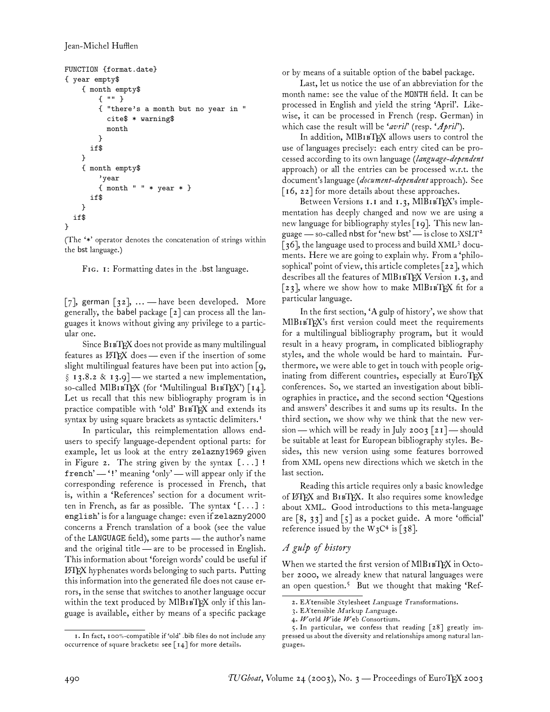```
FUNCTION {format.date}
{ year empty$
    { month empty$
        { "" }
        { "there's a month but no year in "
          cite$ * warning$
          month
        }
      if$
    }
    { month empty$
        'year
        { month " " * year * }
      if$
    }
  if$
}
```
(The '\*' operator denotes the concatenation of strings within the bst language.)

FIG. 1: Formatting dates in the .bst language.

[7], german  $[32]$ , ... - have been developed. More generally, the babel package [2] can process all the languages it knows without giving any privilege to a particular one.

Since BIBTEX does not provide as many multilingual features as  $\Delta FFX$  does — even if the insertion of some slight multilingual features have been put into action [9,  $\S$  13.8.2 & 13.9] — we started a new implementation, so-called MlBIBTEX (for 'Multilingual BIBTEX')  $\lceil 14 \rceil$ . Let us recall that this new bibliography program is in practice compatible with 'old' BIBTEX and extends its syntax by using square brackets as syntactic delimiters.<sup>1</sup>

In particular, this reimplementation allows endusers to specify language-dependent optional parts: for example, let us look at the entry zelazny1969 given in Figure 2. The string given by the syntax  $[...]$ ! french' — '!' meaning 'only' — will appear only if the corresponding reference is processed in French, that is, within a 'References' section for a document written in French, as far as possible. The syntax '[...] : english' is for a language change: even if zelazny2000 concerns a French translation of a book (see the value of the LANGUAGE field), some parts — the author's name and the original title— are to be processed in English. This information about 'foreign words' could be useful if LATEX hyphenates words belonging to such parts. Putting this information into the generated file does not cause errors, in the sense that switches to another language occur within the text produced by MIBIBTEX only if this language is available, either by means of a specific package

or by means of a suitable option of the babel package.

Last, let us notice the use of an abbreviation for the month name: see the value of the MONTH field. It can be processed in English and yield the string 'April'. Likewise, it can be processed in French (resp. German) in which case the result will be '*avril*' (resp. '*April*').

In addition, MIBIBTEX allows users to control the use of languages precisely: each entry cited can be processed according to its own language (*language-dependent* approach) or all the entries can be processed w.r.t. the document's language (*document-dependent*approach). See [ $16, 22$ ] for more details about these approaches.

Between Versions 1.1 and 1.3, MlB1BTEX's implementation has deeply changed and now we are using a new language for bibliography styles [19]. This new language — so-called nbst for 'new bst' — is close to  $XSLT^2$ [36], the language used to process and build XML<sup>3</sup> documents. Here we are going to explain why. From a 'philosophical' point of view, this article completes [22], which describes all the features of MIBIBTEX Version 1.3, and [23], where we show how to make MlB1  $F[X]$  fit for a particular language.

In the first section, 'A gulp of history', we show that MIBIBTEX's first version could meet the requirements for a multilingual bibliography program, but it would result in a heavy program, in complicated bibliography styles, and the whole would be hard to maintain. Furthermore, we were able to get in touch with people originating from different countries, especially at EuroTFX conferences. So, we started an investigation about bibliographies in practice, and the second section 'Questions and answers' describes it and sums up its results. In the third section, we show why we think that the new version— which will be ready in July 2003 [21]— should be suitable at least for European bibliography styles. Besides, this new version using some features borrowed from XML opens new directions which we sketch in the last section.

Reading this article requires only a basic knowledge of LATEX and B1BTEX. It also requires some knowledge about XML. Good introductions to this meta-language are [8, 33] and [5] as a pocket guide. A more 'official' reference issued by the  $\text{W}_3\text{C}^4$  is [38].

# *A gulp of history*

When we started the first version of MIBIBTEX in October 2000, we already knew that natural languages were an open question.<sup>5</sup> But we thought that making 'Ref-

<sup>2.</sup> E*X*tensible *S*tylesheet *L*anguage *T*ransformations.

<sup>3.</sup> E*X*tensible *M*arkup *L*anguage.

<sup>4.</sup> *W*orld *W*ide *W*eb *C*onsortium.

<sup>5.</sup> In particular, we confess that reading [28] greatly impressed us about the diversity and relationships among natural languages.

<sup>1.</sup> In fact, 100%-compatible if 'old' .bib files do not include any occurrence of square brackets: see  $\lceil 14 \rceil$  for more details.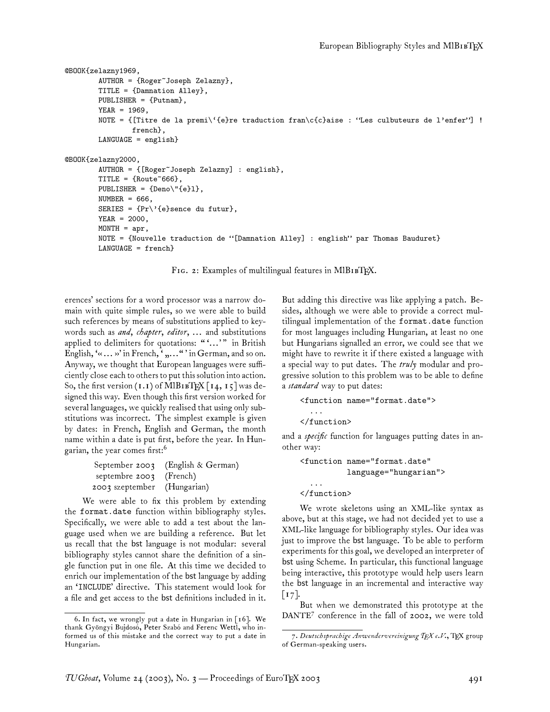```
@BOOK{zelazny1969,
        AUTHOR = {Roger<sup>o</sup>Joseph Zelazny},
        TITLE = {Damnation Alley},
        PUBLISHER = {Putnam},
        YEAR = 1969,NOTE = {[Titre de la premi\'{e}re traduction fran\c{c}aise : "Les culbuteurs de l'enfer"] !
                french},
        LANGUAGE = english}
@BOOK{zelazny2000,
        AUTHOR = {[Roger~Joseph Zelazny] : english},
        TITLE = {Root}PUBLISHER = {Deno\"{e}l},
        NUMBER = 666,SERIES = \{Pr\}'\{e\}sence du futur},
        YEAR = 2000,MONTH = apr,NOTE = {Nouvelle traduction de "[Damnation Alley] : english" par Thomas Bauduret}
        LANGUAGE = french}
```
FIG. 2: Examples of multilingual features in MIBIBTEX.

erences' sections for a word processor was a narrow domain with quite simple rules, so we were able to build such references by means of substitutions applied to keywords such as *and*, *chapter*, *editor*, ... and substitutions applied to delimiters for quotations: ""..." in British English,  $\langle \ldots \rangle$  in French,  $\langle \ldots \rangle$  in German, and so on. Anyway, we thought that European languages were sufficiently close each to others to put this solution into action. So, the first version  $(1.1)$  of MlB<sub>1B</sub>TEX  $\lceil 14, 15 \rceil$  was designed this way. Even though this first version worked for several languages, we quickly realised that using only substitutions was incorrect. The simplest example is given by dates: in French, English and German, the month name within a date is put first, before the year. In Hungarian, the year comes first:<sup>6</sup>

|                             | September 2003 (English & German) |
|-----------------------------|-----------------------------------|
| septembre $2003$ (French)   |                                   |
| 2003 szeptember (Hungarian) |                                   |

We were able to fix this problem by extending the format.date function within bibliography styles. Specifically, we were able to add a test about the language used when we are building a reference. But let us recall that the bst language is not modular: several bibliography styles cannot share the definition of a single function put in one file. At this time we decided to enrich our implementation of the bst language by adding an 'INCLUDE' directive. This statement would look for a file and get access to the bst definitions included in it. But adding this directive was like applying a patch. Besides, although we were able to provide a correct multilingual implementation of the format.date function for most languages including Hungarian, at least no one but Hungarians signalled an error, we could see that we might have to rewrite it if there existed a language with a special way to put dates. The *truly* modular and progressive solution to this problem was to be able to define a *standard* way to put dates:

```
<function name="format.date">
  ...
</function>
```
and a *specific* function for languages putting dates in another way:

```
<function name="format.date"
          language="hungarian">
  ...
</function>
```
We wrote skeletons using an XML-like syntax as above, but at this stage, we had not decided yet to use a XML-like language for bibliography styles. Our idea was just to improve the bst language. To be able to perform experiments for this goal, we developed an interpreter of bst using Scheme. In particular, this functional language being interactive, this prototype would help users learn the bst language in an incremental and interactive way  $\lceil 17 \rceil$ .

But when we demonstrated this prototype at the DANTE<sup>7</sup> conference in the fall of 2002, we were told

<sup>6.</sup> In fact, we wrongly put a date in Hungarian in [16]. We thank Gyöngyi Bujdosó, Peter Szabó and Ferenc Wettl, who informed us of this mistake and the correct way to put a date in Hungarian.

<sup>7.</sup> *Deutschsprachige Anwendervereinigung TEX e.V.*, TEX group of German-speaking users.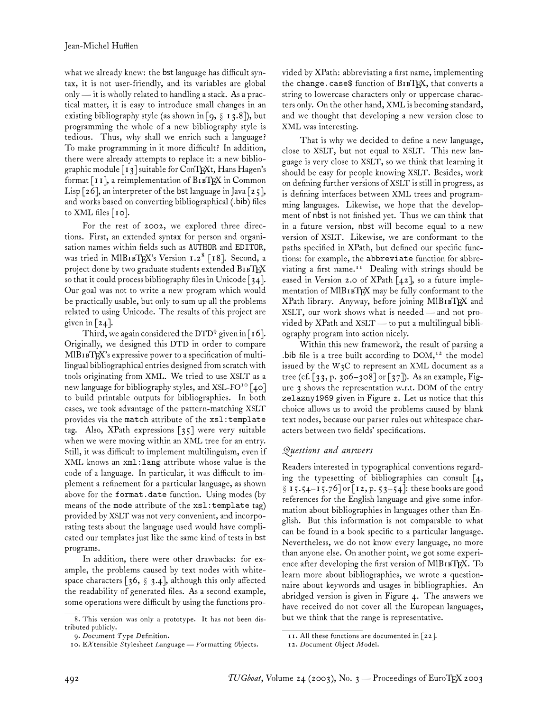what we already knew: the bst language has difficult syntax, it is not user-friendly, and its variables are global only — it is wholly related to handling a stack. As a practical matter, it is easy to introduce small changes in an existing bibliography style (as shown in [9,  $\S$  13.8]), but programming the whole of a new bibliography style is tedious. Thus, why shall we enrich such a language? To make programming in it more difficult? In addition, there were already attempts to replace it: a new bibliographic module  $\lceil 13 \rceil$  suitable for ConTEXt, Hans Hagen's format  $\lceil \mathbf{11} \rceil$ , a reimplementation of  $\text{B1BTeX}$  in Common Lisp  $\lceil 26 \rceil$ , an interpreter of the bst language in Java  $\lceil 25 \rceil$ , and works based on converting bibliographical (.bib) files to XML files  $[10]$ .

For the rest of 2002, we explored three directions. First, an extended syntax for person and organisation names within fields such as AUTHOR and EDITOR, was tried in M1B1BTEX's Version 1.2<sup>8</sup> [18]. Second, a project done by two graduate students extended BIBTEX so that it could process bibliography files in Unicode [34]. Our goal was not to write a new program which would be practically usable, but only to sum up all the problems related to using Unicode. The results of this project are given in  $\lceil 24 \rceil$ .

Third, we again considered the DTD<sup>9</sup> given in [16]. Originally, we designed this DTD in order to compare MlBIBTEX's expressive power to a specification of multilingual bibliographical entries designed from scratch with tools originating from XML. We tried to use XSLT as a new language for bibliography styles, and XSL-FO<sup>10</sup> [40] to build printable outputs for bibliographies. In both cases, we took advantage of the pattern-matching XSLT provides via the match attribute of the xsl:template tag. Also, XPath expressions [35] were very suitable when we were moving within an XML tree for an entry. Still, it was difficult to implement multilinguism, even if XML knows an xml:lang attribute whose value is the code of a language. In particular, it was difficult to implement a refinement for a particular language, as shown above for the format.date function. Using modes (by means of the mode attribute of the xsl:template tag) provided by XSLT was not very convenient, and incorporating tests about the language used would have complicated our templates just like the same kind of tests in bst programs.

In addition, there were other drawbacks: for example, the problems caused by text nodes with whitespace characters  $\lceil 36, \S 3.4 \rceil$ , although this only affected the readability of generated files. As a second example, some operations were difficult by using the functions provided by XPath: abbreviating a first name, implementing the change.case\$ function of B1BTEX, that converts a string to lowercase characters only or uppercase characters only. On the other hand, XML is becoming standard, and we thought that developing a new version close to XML was interesting.

That is why we decided to define a new language, close to XSLT, but not equal to XSLT. This new language is very close to XSLT, so we think that learning it should be easy for people knowing XSLT. Besides, work on defining further versions of XSLT is still in progress, as is defining interfaces between XML trees and programming languages. Likewise, we hope that the development of nbst is not finished yet. Thus we can think that in a future version, nbst will become equal to a new version of XSLT. Likewise, we are conformant to the paths specified in XPath, but defined our specific functions: for example, the abbreviate function for abbreviating a first name.<sup>11</sup> Dealing with strings should be eased in Version 2.0 of XPath  $[42]$ , so a future implementation of MIBIBTEX may be fully conformant to the XPath library. Anyway, before joining MlB1BTEX and XSLT, our work shows what is needed— and not provided by XPath and XSLT — to put a multilingual bibliography program into action nicely.

Within this new framework, the result of parsing a .bib file is a tree built according to DOM, <sup>12</sup> the model issued by the  $W_3C$  to represent an XML document as a tree (cf. [33, p. 306–308] or [37]). As an example, Figure 3 shows the representation w.r.t. DOM of the entry zelazny1969 given in Figure 2. Let us notice that this choice allows us to avoid the problems caused by blank text nodes, because our parser rules out whitespace characters between two fields' specifications.

## *Questions and answers*

Readers interested in typographical conventions regarding the typesetting of bibliographies can consult [4, § 15.54–15.76] or [12, p. 53–54]: these books are good references for the English language and give some information about bibliographies in languages other than English. But this information is not comparable to what can be found in a book specific to a particular language. Nevertheless, we do not know every language, no more than anyone else. On another point, we got some experience after developing the first version of MIBIBTEX. To learn more about bibliographies, we wrote a questionnaire about keywords and usages in bibliographies. An abridged version is given in Figure 4. The answers we have received do not cover all the European languages, but we think that the range is representative.

<sup>8.</sup> This version was only a prototype. It has not been distributed publicly.

<sup>9.</sup> *D*ocument *T*ype *D*efinition.

<sup>10.</sup> E*X*tensible *S*tylesheet *L*anguage —*F*ormatting *O*bjects.

<sup>11.</sup> All these functions are documented in [22].

<sup>12.</sup> *D*ocument *O*bject *M*odel.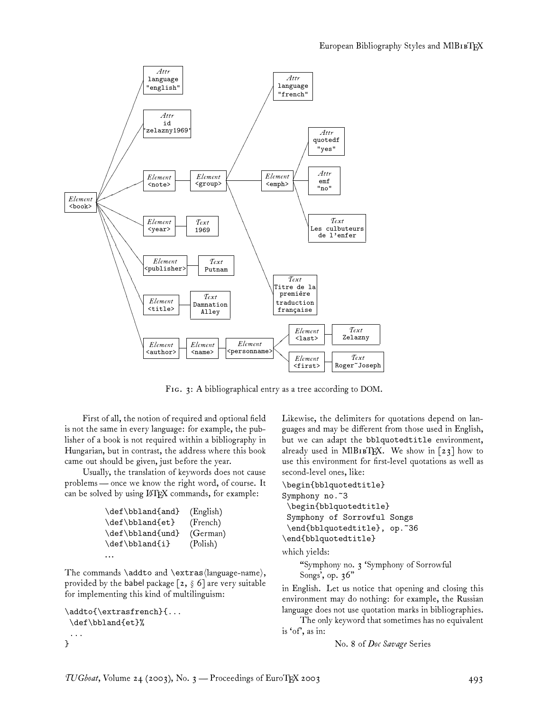

FIG. 3: A bibliographical entry as a tree according to DOM.

First of all, the notion of required and optional field is not the same in every language: for example, the publisher of a book is not required within a bibliography in Hungarian, but in contrast, the address where this book came out should be given, just before the year.

Usually, the translation of keywords does not cause problems — once we know the right word, of course. It can be solved by using LATEX commands, for example:

```
\def\bbland{and} (English)
\def\bbland{et} (French)
\def\bbland{und} (German)
\def\bbland{i} (Polish)
...
```
The commands \addto and \extras $\langle \langle \rangle$ provided by the babel package  $[z, \S 6]$  are very suitable for implementing this kind of multilinguism:

```
\addto{\extrasfrench}{...
 \def\bbland{et}%
 ...
}
```
Likewise, the delimiters for quotations depend on languages and may be different from those used in English, but we can adapt the bblquotedtitle environment, already used in MIBIBTEX. We show in  $\lceil 23 \rceil$  how to use this environment for first-level quotations as well as second-level ones, like:

```
\begin{bblquotedtitle}
Symphony no.<sup>~3</sup>
 \begin{bblquotedtitle}
Symphony of Sorrowful Songs
```

```
\end{bblquotedtitle}, op.~36
\end{bblquotedtitle}
which yields:
```
"Symphony no. 3 'Symphony of Sorrowful

Songs', op. 36"

in English. Let us notice that opening and closing this environment may do nothing: for example, the Russian language does not use quotation marks in bibliographies.

The only keyword that sometimes has no equivalent is 'of', as in:

No. 8 of *Doc Savage* Series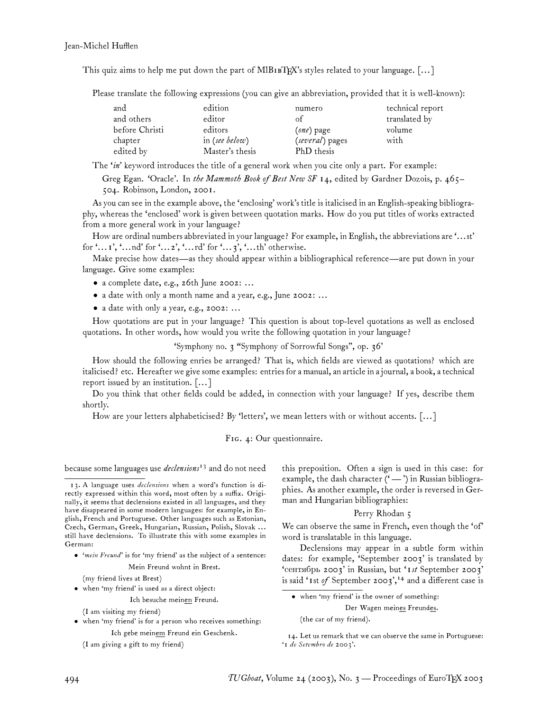This quiz aims to help me put down the part of MlB<sub>IB</sub>T<sub>EX</sub>'s styles related to your language.  $[\dots]$ 

Please translate the following expressions (you can give an abbreviation, provided that it is well-known):

| and            | edition         | numero          | technical report |
|----------------|-----------------|-----------------|------------------|
| and others     | editor          | of              | translated by    |
| before Christi | editors         | (one) page      | volume           |
| chapter        | in (see below)  | (several) pages | with             |
| edited by      | Master's thesis | PhD thesis      |                  |

The '*in*' keyword introduces the title of a general work when you cite only a part. For example:

Greg Egan. 'Oracle'. In *the Mammoth Book of Best New SF 14*, edited by Gardner Dozois, p. 465– 504. Robinson, London, 2001.

As you can see in the example above, the 'enclosing' work's title is italicised in an English-speaking bibliography, whereas the 'enclosed' work is given between quotation marks. How do you put titles of works extracted from a more general work in your language?

How are ordinal numbers abbreviated in your language? For example, in English, the abbreviations are '...st' for '...1', '...nd' for '...2', '...rd' for '...3', '...th' otherwise.

Make precise how dates—as they should appear within a bibliographical reference—are put down in your language. Give some examples:

- a complete date, e.g., 26th June 2002: ...
- a date with only a month name and a year, e.g., June 2002: ...
- a date with only a year, e.g., 2002: ...

How quotations are put in your language? This question is about top-level quotations as well as enclosed quotations. In other words, how would you write the following quotation in your language?

'Symphony no. 3 "Symphony of Sorrowful Songs", op. 36'

How should the following enries be arranged? That is, which fields are viewed as quotations? which are italicised? etc. Hereafter we give some examples: entries for a manual, an article in a journal, a book, a technical report issued by an institution. [... ]

Do you think that other fields could be added, in connection with your language? If yes, describe them shortly.

How are your letters alphabeticised? By 'letters', we mean letters with or without accents. [... ]

#### FIG. 4: Our questionnaire.

because some languages use *declensions*<sup>13</sup> and do not need

• '*mein Freund*' is for 'my friend' as the subject of a sentence:

Mein Freund wohnt in Brest.

(my friend lives at Brest)

• when 'my friend' is used as a direct object:

Ich besuche meinen Freund.

(I am visiting my friend)

• when 'my friend' is for a person who receives something: Ich gebe meinem Freund ein Geschenk.

(I am giving a gift to my friend)

this preposition. Often a sign is used in this case: for example, the dash character ('-') in Russian bibliographies. As another example, the order is reversed in German and Hungarian bibliographies:

#### Perry Rhodan 5

We can observe the same in French, even though the 'of' word is translatable in this language.

Declensions may appear in a subtle form within dates: for example, 'September 2003' is translated by 'сентябрь 2003' in Russian, but '*1st* September 2003' is said '1st *of* September 2003',<sup>14</sup> and a different case is

• when 'my friend' is the owner of something:

Der Wagen meines Freundes.

(the car of my friend).

<sup>13.</sup> A language uses *declensions* when a word's function is directly expressed within this word, most often by a suffix. Originally, it seems that declensions existed in all languages, and they have disappeared in some modern languages: for example, in English, French and Portuguese. Other languages such as Estonian, Czech, German, Greek, Hungarian, Russian, Polish, Slovak ... still have declensions. To illustrate this with some examples in German:

<sup>14.</sup> Let us remark that we can observe the same in Portuguese: '*1 de Setembro de 2003*'.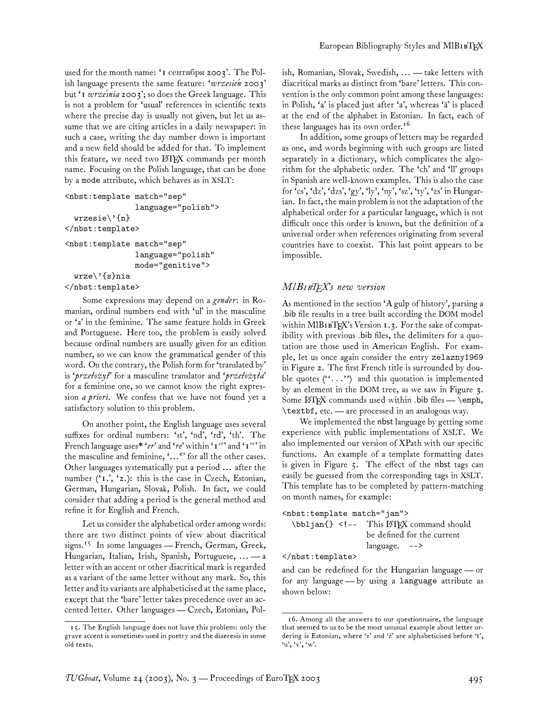used for the month name: '1 сентября 2003'. The Polish language presents the same feature: 'wrzesien 2003' but '*1 wrze´snia 2003*'; so does the Greek language. This is not a problem for 'usual' references in scientific texts where the precise day is usually not given, but let us assume that we are citing articles in a daily newspaper: in such a case, writing the day number down is important and a new field should be added for that. To implement this feature, we need two LATEX commands per month name. Focusing on the Polish language, that can be done by a mode attribute, which behaves as in XSLT:

```
<nbst:template match="sep"
               language="polish">
  wrzesie\'{n}
</nbst:template>
<nbst:template match="sep"
               language="polish"
               mode="genitive">
  wrze\'{s}nia
</nbst:template>
```
Some expressions may depend on a *gender*: in Romanian, ordinal numbers end with 'ul' in the masculine or 'a' in the feminine. The same feature holds in Greek and Portuguese. Here too, the problem is easily solved because ordinal numbers are usually given for an edition number, so we can know the grammatical gender of this word. On the contrary, the Polish form for 'translated by' is '*przeło ˙zył*' for a masculine translator and '*przeło ˙zyła*' for a feminine one, so we cannot know the right expression *a priori*. We confess that we have not found yet a satisfactory solution to this problem.

On another point, the English language uses several suffixes for ordinal numbers: 'st', 'nd', 'rd', 'th'. The French language uses\* '*er*' and '*re*' within '*1 er*' and '*1 re*' in the masculine and feminine, '...<sup>e</sup>' for all the other cases. Other languages systematically put a period ... after the number ('*1.*', '*2.*): this is the case in Czech, Estonian, German, Hungarian, Slovak, Polish. In fact, we could consider that adding a period is the general method and refine it for English and French.

Let us consider the alphabetical order among words: there are two distinct points of view about diacritical signs.<sup>15</sup> In some languages — French, German, Greek, Hungarian, Italian, Irish, Spanish, Portuguese, ... — a letter with an accent or other diacritical mark is regarded as a variant of the same letter without any mark. So, this letter and its variants are alphabeticised at the same place, except that the 'bare' letter takes precedence over an accented letter. Other languages— Czech, Estonian, Polish, Romanian, Slovak, Swedish, ... — take letters with diacritical marks as distinct from 'bare' letters. This convention is the only common point among these languages: in Polish, 'a' is placed just after 'a', whereas 'ä' is placed at the end of the alphabet in Estonian. In fact, each of these languages has its own order.<sup>16</sup>

In addition, some groups of letters may be regarded as one, and words beginning with such groups are listed separately in a dictionary, which complicates the algorithm for the alphabetic order. The 'ch' and 'll' groups in Spanish are well-known examples. This is also the case for 'cs', 'dz', 'dzs', 'gy', 'ly', 'ny', 'sz', 'ty', 'zs' in Hungarian. In fact, the main problem is not the adaptation of the alphabetical order for a particular language, which is not difficult once this order is known, but the definition of a universal order when references originating from several countries have to coexist. This last point appears to be impossible.

## *Ml*B*TEX's new version*

As mentioned in the section 'A gulp of history', parsing a .bib file results in a tree built according the DOM model within MlB1BTEX's Version 1.3. For the sake of compatibility with previous .bib files, the delimiters for a quotation are those used in American English. For example, let us once again consider the entry zelazny1969 in Figure 2. The first French title is surrounded by double quotes  $(''. . .")$  and this quotation is implemented by an element in the DOM tree, as we saw in Figure 3. Some  $\LaTeX{}$  commands used within .bib files — \emph, \textbf, etc. — are processed in an analogous way.

We implemented the nbst language by getting some experience with public implementations of XSLT. We also implemented our version of XPath with our specific functions. An example of a template formatting dates is given in Figure 5. The effect of the nbst tags can easily be guessed from the corresponding tags in XSLT. This template has to be completed by pattern-matching on month names, for example:

```
<nbst:template match="jan">
```

```
\bbljan{} <!-- This LATEX command should
                  be defined for the current
                  language. -->
```
</nbst:template>

and can be redefined for the Hungarian language— or for any language— by using a language attribute as shown below:

<sup>15.</sup> The English language does not have this problem: only the grave accent is sometimes used in poetry and the diaeresis in some old texts.

<sup>16.</sup> Among all the answers to our questionnaire, the language that seemed to us to be the most unusual example about letter ordering is Estonian, where 'z' and 'ž' are alphabeticised before 't', 'u', 'v', 'w'.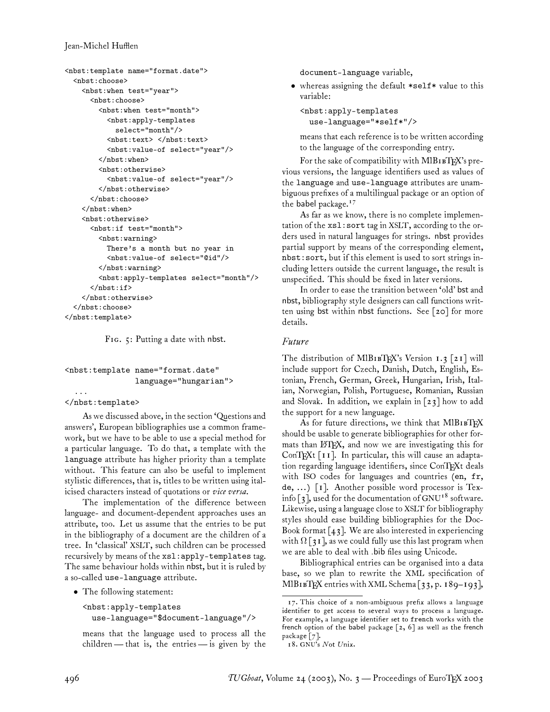```
<nbst:template name="format.date">
  <nbst:choose>
    <nbst:when test="year">
      <nbst:choose>
        <nbst:when test="month">
          <nbst:apply-templates
            select="month"/>
          <nbst:text> </nbst:text>
          <nbst:value-of select="year"/>
        </nbst:when>
        <nbst:otherwise>
          <nbst:value-of select="year"/>
        </nbst:otherwise>
      </nbst:choose>
    </nbst:when>
    <nbst:otherwise>
      <nbst:if test="month">
        <nbst:warning>
          There's a month but no year in
          <nbst:value-of select="@id"/>
        </nbst:warning>
        <nbst:apply-templates select="month"/>
      \langle/nbst:if>
    </nbst:otherwise>
  </nbst:choose>
</nbst:template>
```
FIG. 5: Putting a date with nbst.

## <nbst:template name="format.date" language="hungarian">

## </nbst:template>

...

As we discussed above, in the section 'Questions and answers', European bibliographies use a common framework, but we have to be able to use a special method for a particular language. To do that, a template with the language attribute has higher priority than a template without. This feature can also be useful to implement stylistic differences, that is, titles to be written using italicised characters instead of quotations or *vice versa*.

The implementation of the difference between language- and document-dependent approaches uses an attribute, too. Let us assume that the entries to be put in the bibliography of a document are the children of a tree. In 'classical' XSLT, such children can be processed recursively by means of the xsl:apply-templates tag. The same behaviour holds within nbst, but it is ruled by a so-called use-language attribute.

• The following statement:

```
<nbst:apply-templates
  use-language="$document-language"/>
```
means that the language used to process all the children— that is, the entries— is given by the document-language variable,

• whereas assigning the default \*self\* value to this variable:

```
<nbst:apply-templates
 use-language="*self*"/>
```
means that each reference is to be written according to the language of the corresponding entry.

For the sake of compatibility with  $MIBIB$ TEX's previous versions, the language identifiers used as values of the language and use-language attributes are unambiguous prefixes of a multilingual package or an option of the babel package.<sup>17</sup>

As far as we know, there is no complete implementation of the xsl:sort tag in XSLT, according to the orders used in natural languages for strings. nbst provides partial support by means of the corresponding element, nbst:sort, but if this element is used to sort strings including letters outside the current language, the result is unspecified. This should be fixed in later versions.

In order to ease the transition between 'old' bst and nbst, bibliography style designers can call functions written using bst within nbst functions. See [20] for more details.

# *Future*

The distribution of MlB1BTEX's Version  $1.3$  [21] will include support for Czech, Danish, Dutch, English, Estonian, French, German, Greek, Hungarian, Irish, Italian, Norwegian, Polish, Portuguese, Romanian, Russian and Slovak. In addition, we explain in  $\lceil 23 \rceil$  how to add the support for a new language.

As for future directions, we think that MIBIBTEX should be usable to generate bibliographies for other formats than LHEX, and now we are investigating this for ConTEXt [11]. In particular, this will cause an adaptation regarding language identifiers, since ConTEXt deals with ISO codes for languages and countries (en, fr, de, ... ) [1]. Another possible word processor is Texinfo [3], used for the documentation of GNU<sup>18</sup> software. Likewise, using a language close to XSLT for bibliography styles should ease building bibliographies for the Doc-Book format  $\lceil 43 \rceil$ . We are also interested in experiencing with  $\Omega$  [31], as we could fully use this last program when we are able to deal with .bib files using Unicode.

Bibliographical entries can be organised into a data base, so we plan to rewrite the XML specification of MlBIBTEX entries with XML Schema [33, p. 189–193],

<sup>17.</sup> This choice of a non-ambiguous prefix allows a language identifier to get access to several ways to process a language. For example, a language identifier set to french works with the french option of the babel package  $[2, 6]$  as well as the french package [7].

<sup>18.</sup> GNU's *N*ot *U*nix.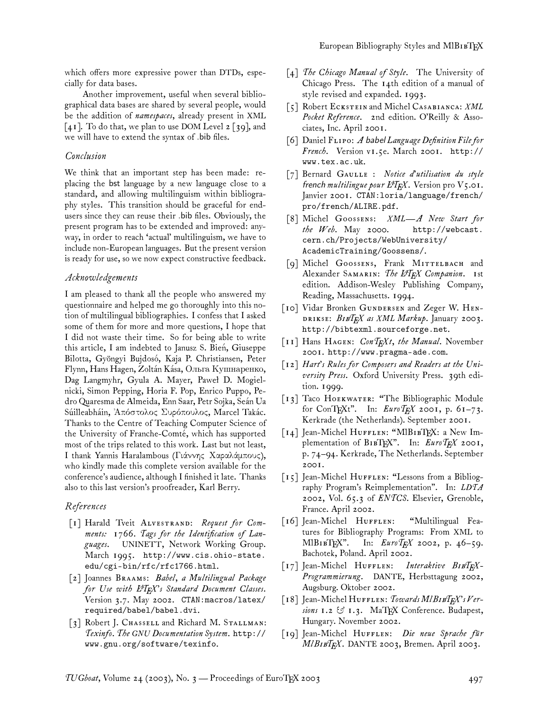which offers more expressive power than DTDs, especially for data bases.

Another improvement, useful when several bibliographical data bases are shared by several people, would be the addition of *namespaces*, already present in XML  $\lceil 4I \rceil$ . To do that, we plan to use DOM Level 2 [39], and we will have to extend the syntax of .bib files.

### *Conclusion*

We think that an important step has been made: replacing the bst language by a new language close to a standard, and allowing multilinguism within bibliography styles. This transition should be graceful for endusers since they can reuse their .bib files. Obviously, the present program has to be extended and improved: anyway, in order to reach 'actual' multilinguism, we have to include non-European languages. But the present version is ready for use, so we now expect constructive feedback.

### *Acknowledgements*

I am pleased to thank all the people who answered my questionnaire and helped me go thoroughly into this notion of multilingual bibliographies. I confess that I asked some of them for more and more questions, I hope that I did not waste their time. So for being able to write this article, I am indebted to Janusz S. Bien, Giuseppe Bilotta, Gyöngyi Bujdosó, Kaja P. Christiansen, Peter Flynn, Hans Hagen, Zoltán Kása, Ольга Кушнаренко, Dag Langmyhr, Gyula A. Mayer, Paweł D. Mogielnicki, Simon Pepping, Horia F. Pop, Enrico Puppo, Pedro Quaresma de Almeida, Enn Saar, Petr Sojka, Seán Ua Súilleabháin, Άπόστολος Συρόπουλος, Marcel Takác. Thanks to the Centre of Teaching Computer Science of the University of Franche-Comté, which has supported most of the trips related to this work. Last but not least, I thank Yannis Haralambous (Γιάννηc Χαραlάµπουc), who kindly made this complete version available for the conference's audience, although I finished it late. Thanks also to this last version's proofreader, Karl Berry.

### *References*

- [1] Harald Tveit ALVESTRAND: Request for Com*ments: 1766. Tags for the Identification of Languages*. UNINETT, Network Working Group. March 1995. http://www.cis.ohio-state. edu/cgi-bin/rfc/rfc1766.html.
- [2] Joannes BRAAMS: *Babel, a Multilingual Package for Use with LATEX's Standard Document Classes*. Version 3.7. May 2002. CTAN:macros/latex/ required/babel/babel.dvi.
- [3] Robert J. CHASSELL and Richard M. STALLMAN: *Texinfo. The GNU Documentation System*. http:// www.gnu.org/software/texinfo.
- [4] *The Chicago Manual of Style*. The University of Chicago Press. The 14th edition of a manual of style revised and expanded. 1993.
- [5] Robert ECKSTEIN and Michel CASABIANCA: *XML Pocket Reference*. 2nd edition. O'Reilly & Associates, Inc. April 2001.
- [6] Daniel FLIPO: A babel Language Definition File for *French*. Version v1.5e. March 2001. http:// www.tex.ac.uk.
- [7] Bernard GAULLE : Notice d'utilisation du style french *multilingue pour L<sup>4</sup>T<sub>E</sub>X*. Version pro  $V_5$ .01. Janvier 2001. CTAN:loria/language/french/ pro/french/ALIRE.pdf.
- [8] Michel GOOSSENS: XML-A New Start for *the Web*. May 2000. http://webcast. cern.ch/Projects/WebUniversity/ AcademicTraining/Goossens/.
- [9] Michel GOOSSENS, Frank MITTELBACH and Alexander SAMARIN: The L<sup>A</sup>TEX Companion. 1st edition. Addison-Wesley Publishing Company, Reading, Massachusetts. 1994.
- [10] Vidar Bronken GUNDERSEN and Zeger W. HEN-: B*TEX as XML Markup*. January 2003. http://bibtexml.sourceforge.net.
- [11] Hans HAGEN: *ConTEXt, the Manual*. November 2001. http://www.pragma-ade.com.
- [12] *Hart's Rules for Composers and Readers at the University Press*. Oxford University Press. 39th edition. 1999.
- [13] Taco HOEKWATER: "The Bibliographic Module for ConTEXt". In: *EuroTEX 2001*, p. 61–73. Kerkrade (the Netherlands). September 2001.
- [14] Jean-Michel HUFFLEN: "MlBIBTEX: a New Implementation of  $B$ 1BTFX". In:  $\textit{EuroT}_F X$  2001, p. 74–94. Kerkrade, The Netherlands. September 2001.
- [15] Jean-Michel HUFFLEN: "Lessons from a Bibliography Program's Reimplementation". In: *LDTA 2002*, Vol. 65.3 of *ENTCS*. Elsevier, Grenoble, France. April 2002.
- [16] Jean-Michel HUFFLEN: "Multilingual Features for Bibliography Programs: From XML to MlBIBTEX". In: *EuroTEX* 2002, p. 46-59. Bachotek, Poland. April 2002.
- [17] Jean-Michel HUFFLEN: Interaktive BIBTFX-*Programmierung*. DANTE, Herbsttagung 2002, Augsburg. Oktober 2002.
- [18] Jean-Michel HUFFLEN: *Towards MlBIBTEX's Versions 1.2 & 1.3*. MaTEX Conference. Budapest, Hungary. November 2002.
- [19] Jean-Michel HUFFLEN: *Die neue Sprache für Ml*B*TEX*. DANTE 2003, Bremen. April 2003.